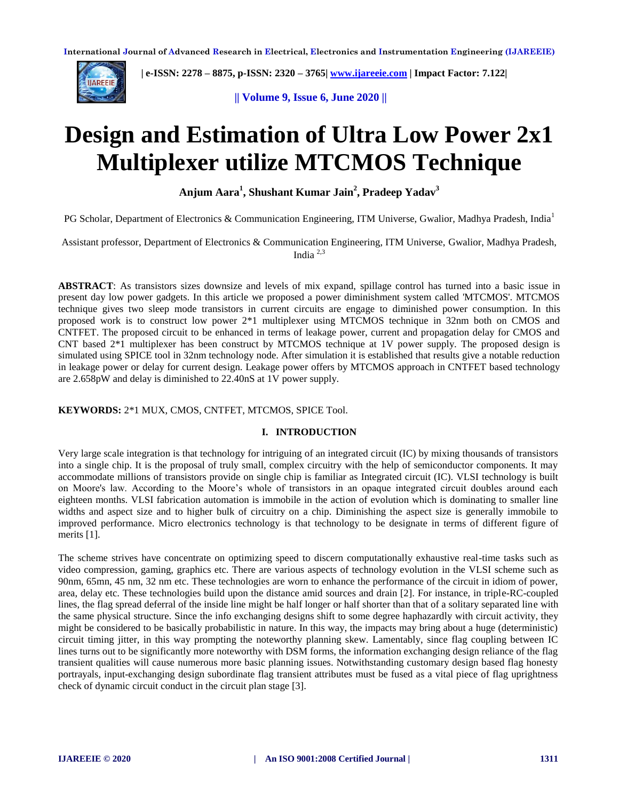

 **| e-ISSN: 2278 – 8875, p-ISSN: 2320 – 3765[| www.ijareeie.com](http://www.ijareeie.com/) | Impact Factor: 7.122|** 

**|| Volume 9, Issue 6, June 2020 ||** 

# **Design and Estimation of Ultra Low Power 2x1 Multiplexer utilize MTCMOS Technique**

**Anjum Aara<sup>1</sup> , Shushant Kumar Jain<sup>2</sup> , Pradeep Yadav<sup>3</sup>**

PG Scholar, Department of Electronics & Communication Engineering, ITM Universe, Gwalior, Madhya Pradesh, India<sup>1</sup>

Assistant professor, Department of Electronics & Communication Engineering, ITM Universe, Gwalior, Madhya Pradesh, India 2,3

**ABSTRACT**: As transistors sizes downsize and levels of mix expand, spillage control has turned into a basic issue in present day low power gadgets. In this article we proposed a power diminishment system called 'MTCMOS'. MTCMOS technique gives two sleep mode transistors in current circuits are engage to diminished power consumption. In this proposed work is to construct low power 2\*1 multiplexer using MTCMOS technique in 32nm both on CMOS and CNTFET. The proposed circuit to be enhanced in terms of leakage power, current and propagation delay for CMOS and CNT based 2\*1 multiplexer has been construct by MTCMOS technique at 1V power supply. The proposed design is simulated using SPICE tool in 32nm technology node. After simulation it is established that results give a notable reduction in leakage power or delay for current design. Leakage power offers by MTCMOS approach in CNTFET based technology are 2.658pW and delay is diminished to 22.40nS at 1V power supply.

**KEYWORDS:** 2\*1 MUX, CMOS, CNTFET, MTCMOS, SPICE Tool.

# **I. INTRODUCTION**

Very large scale integration is that technology for intriguing of an integrated circuit (IC) by mixing thousands of transistors into a single chip. It is the proposal of truly small, complex circuitry with the help of semiconductor components. It may accommodate millions of transistors provide on single chip is familiar as Integrated circuit (IC). VLSI technology is built on Moore's law. According to the Moore's whole of transistors in an opaque integrated circuit doubles around each eighteen months. VLSI fabrication automation is immobile in the action of evolution which is dominating to smaller line widths and aspect size and to higher bulk of circuitry on a chip. Diminishing the aspect size is generally immobile to improved performance. Micro electronics technology is that technology to be designate in terms of different figure of merits [1].

The scheme strives have concentrate on optimizing speed to discern computationally exhaustive real-time tasks such as video compression, gaming, graphics etc. There are various aspects of technology evolution in the VLSI scheme such as 90nm, 65mn, 45 nm, 32 nm etc. These technologies are worn to enhance the performance of the circuit in idiom of power, area, delay etc. These technologies build upon the distance amid sources and drain [2]. For instance, in triple-RC-coupled lines, the flag spread deferral of the inside line might be half longer or half shorter than that of a solitary separated line with the same physical structure. Since the info exchanging designs shift to some degree haphazardly with circuit activity, they might be considered to be basically probabilistic in nature. In this way, the impacts may bring about a huge (deterministic) circuit timing jitter, in this way prompting the noteworthy planning skew. Lamentably, since flag coupling between IC lines turns out to be significantly more noteworthy with DSM forms, the information exchanging design reliance of the flag transient qualities will cause numerous more basic planning issues. Notwithstanding customary design based flag honesty portrayals, input-exchanging design subordinate flag transient attributes must be fused as a vital piece of flag uprightness check of dynamic circuit conduct in the circuit plan stage [3].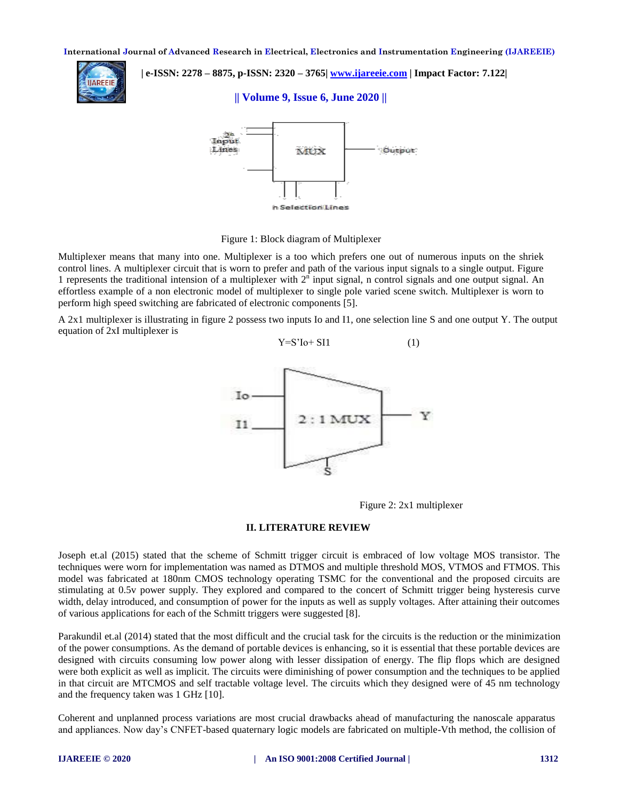

 **| e-ISSN: 2278 – 8875, p-ISSN: 2320 – 3765[| www.ijareeie.com](http://www.ijareeie.com/) | Impact Factor: 7.122|** 

**|| Volume 9, Issue 6, June 2020 ||** 



Figure 1: Block diagram of Multiplexer

Multiplexer means that many into one. Multiplexer is a too which prefers one out of numerous inputs on the shriek control lines. A multiplexer circuit that is worn to prefer and path of the various input signals to a single output. Figure 1 represents the traditional intension of a multiplexer with  $2<sup>n</sup>$  input signal, n control signals and one output signal. An effortless example of a non electronic model of multiplexer to single pole varied scene switch. Multiplexer is worn to perform high speed switching are fabricated of electronic components [5].

A 2x1 multiplexer is illustrating in figure 2 possess two inputs Io and I1, one selection line S and one output Y. The output equation of 2xI multiplexer is



 $Y = S'I_0 + SI1$  (1)

Figure 2: 2x1 multiplexer

# **II. LITERATURE REVIEW**

Joseph et.al (2015) stated that the scheme of Schmitt trigger circuit is embraced of low voltage MOS transistor. The techniques were worn for implementation was named as DTMOS and multiple threshold MOS, VTMOS and FTMOS. This model was fabricated at 180nm CMOS technology operating TSMC for the conventional and the proposed circuits are stimulating at 0.5v power supply. They explored and compared to the concert of Schmitt trigger being hysteresis curve width, delay introduced, and consumption of power for the inputs as well as supply voltages. After attaining their outcomes of various applications for each of the Schmitt triggers were suggested [8].

Parakundil et.al (2014) stated that the most difficult and the crucial task for the circuits is the reduction or the minimization of the power consumptions. As the demand of portable devices is enhancing, so it is essential that these portable devices are designed with circuits consuming low power along with lesser dissipation of energy. The flip flops which are designed were both explicit as well as implicit. The circuits were diminishing of power consumption and the techniques to be applied in that circuit are MTCMOS and self tractable voltage level. The circuits which they designed were of 45 nm technology and the frequency taken was 1 GHz [10].

Coherent and unplanned process variations are most crucial drawbacks ahead of manufacturing the nanoscale apparatus and appliances. Now day's CNFET-based quaternary logic models are fabricated on multiple-Vth method, the collision of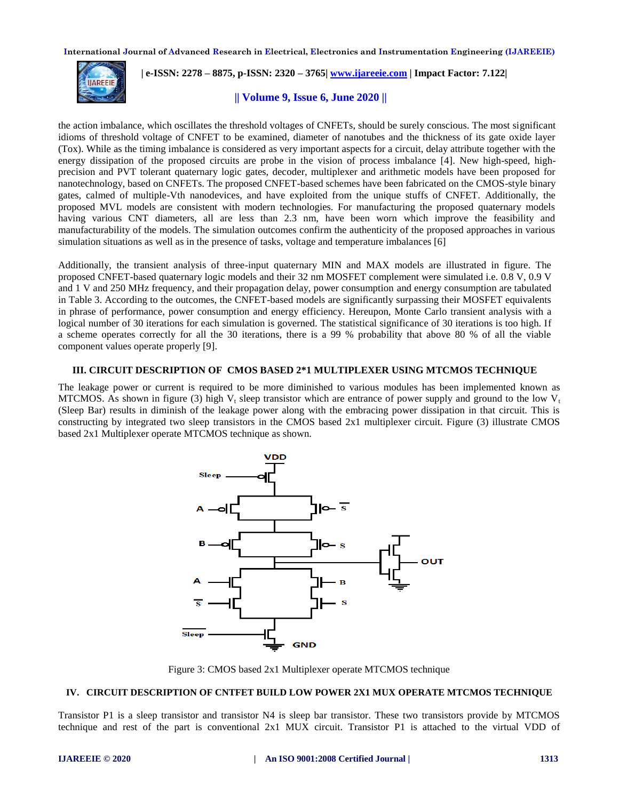

 **| e-ISSN: 2278 – 8875, p-ISSN: 2320 – 3765[| www.ijareeie.com](http://www.ijareeie.com/) | Impact Factor: 7.122|** 

**|| Volume 9, Issue 6, June 2020 ||** 

the action imbalance, which oscillates the threshold voltages of CNFETs, should be surely conscious. The most significant idioms of threshold voltage of CNFET to be examined, diameter of nanotubes and the thickness of its gate oxide layer (Tox). While as the timing imbalance is considered as very important aspects for a circuit, delay attribute together with the energy dissipation of the proposed circuits are probe in the vision of process imbalance [4]. New high-speed, highprecision and PVT tolerant quaternary logic gates, decoder, multiplexer and arithmetic models have been proposed for nanotechnology, based on CNFETs. The proposed CNFET-based schemes have been fabricated on the CMOS-style binary gates, calmed of multiple-Vth nanodevices, and have exploited from the unique stuffs of CNFET. Additionally, the proposed MVL models are consistent with modern technologies. For manufacturing the proposed quaternary models having various CNT diameters, all are less than 2.3 nm, have been worn which improve the feasibility and manufacturability of the models. The simulation outcomes confirm the authenticity of the proposed approaches in various simulation situations as well as in the presence of tasks, voltage and temperature imbalances [6]

Additionally, the transient analysis of three-input quaternary MIN and MAX models are illustrated in figure. The proposed CNFET-based quaternary logic models and their 32 nm MOSFET complement were simulated i.e. 0.8 V, 0.9 V and 1 V and 250 MHz frequency, and their propagation delay, power consumption and energy consumption are tabulated in Table 3. According to the outcomes, the CNFET-based models are significantly surpassing their MOSFET equivalents in phrase of performance, power consumption and energy efficiency. Hereupon, Monte Carlo transient analysis with a logical number of 30 iterations for each simulation is governed. The statistical significance of 30 iterations is too high. If a scheme operates correctly for all the 30 iterations, there is a 99 % probability that above 80 % of all the viable component values operate properly [9].

# **III. CIRCUIT DESCRIPTION OF CMOS BASED 2\*1 MULTIPLEXER USING MTCMOS TECHNIQUE**

The leakage power or current is required to be more diminished to various modules has been implemented known as MTCMOS. As shown in figure (3) high  $V_t$  sleep transistor which are entrance of power supply and ground to the low  $V_t$ (Sleep Bar) results in diminish of the leakage power along with the embracing power dissipation in that circuit. This is constructing by integrated two sleep transistors in the CMOS based 2x1 multiplexer circuit. Figure (3) illustrate CMOS based 2x1 Multiplexer operate MTCMOS technique as shown.



Figure 3: CMOS based 2x1 Multiplexer operate MTCMOS technique

#### **IV. CIRCUIT DESCRIPTION OF CNTFET BUILD LOW POWER 2X1 MUX OPERATE MTCMOS TECHNIQUE**

Transistor P1 is a sleep transistor and transistor N4 is sleep bar transistor. These two transistors provide by MTCMOS technique and rest of the part is conventional 2x1 MUX circuit. Transistor P1 is attached to the virtual VDD of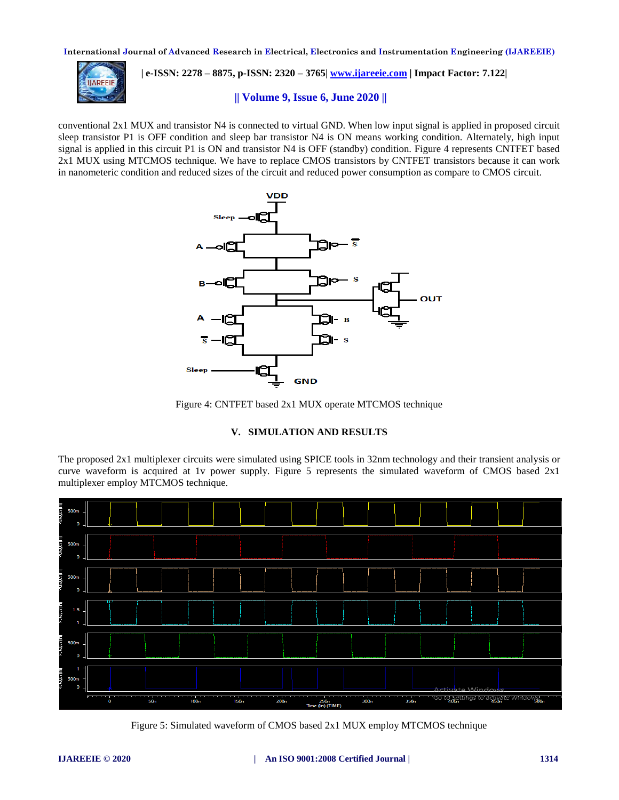

 **| e-ISSN: 2278 – 8875, p-ISSN: 2320 – 3765[| www.ijareeie.com](http://www.ijareeie.com/) | Impact Factor: 7.122|** 

**|| Volume 9, Issue 6, June 2020 ||** 

conventional 2x1 MUX and transistor N4 is connected to virtual GND. When low input signal is applied in proposed circuit sleep transistor P1 is OFF condition and sleep bar transistor N4 is ON means working condition. Alternately, high input signal is applied in this circuit P1 is ON and transistor N4 is OFF (standby) condition. Figure 4 represents CNTFET based 2x1 MUX using MTCMOS technique. We have to replace CMOS transistors by CNTFET transistors because it can work in nanometeric condition and reduced sizes of the circuit and reduced power consumption as compare to CMOS circuit.



Figure 4: CNTFET based 2x1 MUX operate MTCMOS technique

# **V. SIMULATION AND RESULTS**

The proposed 2x1 multiplexer circuits were simulated using SPICE tools in 32nm technology and their transient analysis or curve waveform is acquired at 1v power supply. Figure 5 represents the simulated waveform of CMOS based 2x1 multiplexer employ MTCMOS technique.



Figure 5: Simulated waveform of CMOS based 2x1 MUX employ MTCMOS technique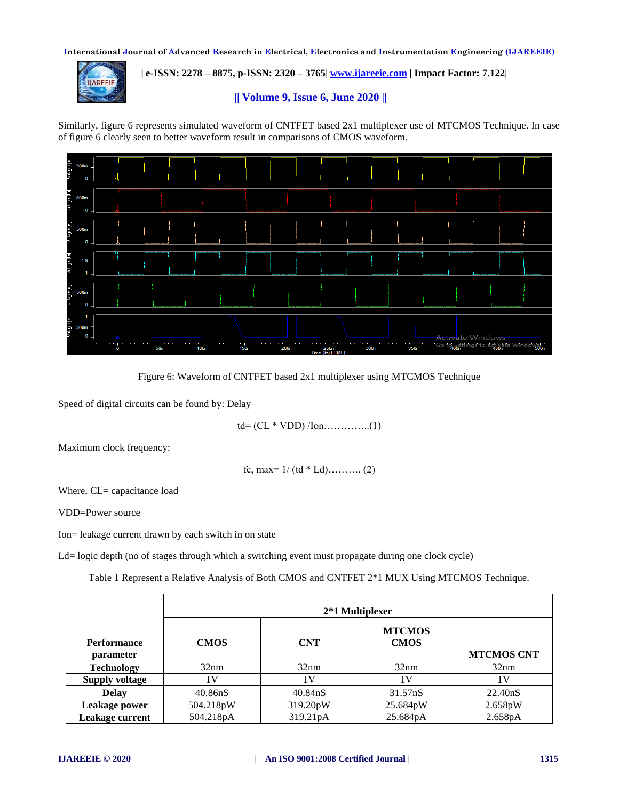

 **| e-ISSN: 2278 – 8875, p-ISSN: 2320 – 3765[| www.ijareeie.com](http://www.ijareeie.com/) | Impact Factor: 7.122|** 

**|| Volume 9, Issue 6, June 2020 ||** 

Similarly, figure 6 represents simulated waveform of CNTFET based 2x1 multiplexer use of MTCMOS Technique. In case of figure 6 clearly seen to better waveform result in comparisons of CMOS waveform.





Speed of digital circuits can be found by: Delay

td= (CL \* VDD) /Ion…………..(1)

Maximum clock frequency:

fc, max=  $1/(td * Ld)$ ………. (2)

Where, CL= capacitance load

VDD=Power source

Ion= leakage current drawn by each switch in on state

Ld= logic depth (no of stages through which a switching event must propagate during one clock cycle)

Table 1 Represent a Relative Analysis of Both CMOS and CNTFET 2\*1 MUX Using MTCMOS Technique.

|                                 | 2*1 Multiplexer      |                      |                              |                   |
|---------------------------------|----------------------|----------------------|------------------------------|-------------------|
| <b>Performance</b><br>parameter | <b>CMOS</b>          | <b>CNT</b>           | <b>MTCMOS</b><br><b>CMOS</b> | <b>MTCMOS CNT</b> |
| <b>Technology</b>               | 32nm                 | 32nm                 | 32nm                         | 32nm              |
| <b>Supply voltage</b>           | 1 V                  | 1 V                  | 1 V                          | 1 V               |
| <b>Delay</b>                    | 40.86 <sub>n</sub> S | 40.84 <sub>n</sub> S | 31.57nS                      | 22.40nS           |
| Leakage power                   | 504.218pW            | 319.20pW             | 25.684pW                     | 2.658pW           |
| <b>Leakage current</b>          | 504.218pA            | 319.21pA             | 25.684pA                     | 2.658pA           |